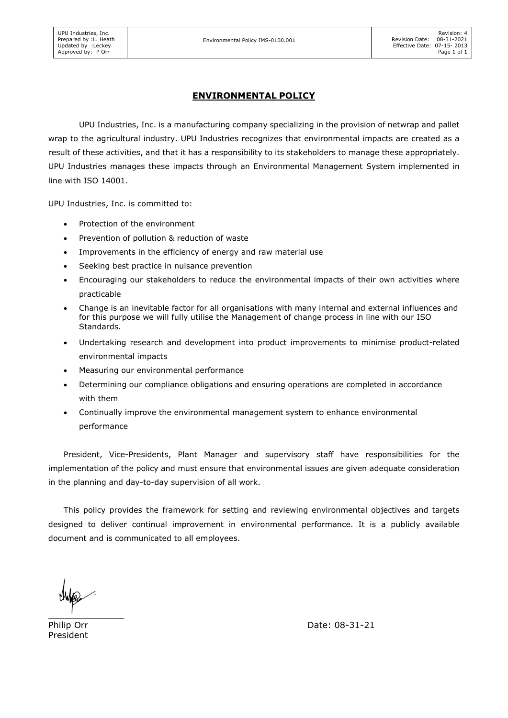## ENVIRONMENTAL POLICY

UPU Industries, Inc. is a manufacturing company specializing in the provision of netwrap and pallet wrap to the agricultural industry. UPU Industries recognizes that environmental impacts are created as a result of these activities, and that it has a responsibility to its stakeholders to manage these appropriately. UPU Industries manages these impacts through an Environmental Management System implemented in line with ISO 14001.

UPU Industries, Inc. is committed to:

- Protection of the environment
- Prevention of pollution & reduction of waste
- Improvements in the efficiency of energy and raw material use
- Seeking best practice in nuisance prevention
- Encouraging our stakeholders to reduce the environmental impacts of their own activities where practicable
- Change is an inevitable factor for all organisations with many internal and external influences and for this purpose we will fully utilise the Management of change process in line with our ISO Standards.
- Undertaking research and development into product improvements to minimise product-related environmental impacts
- Measuring our environmental performance
- Determining our compliance obligations and ensuring operations are completed in accordance with them
- Continually improve the environmental management system to enhance environmental performance

President, Vice-Presidents, Plant Manager and supervisory staff have responsibilities for the implementation of the policy and must ensure that environmental issues are given adequate consideration in the planning and day-to-day supervision of all work.

This policy provides the framework for setting and reviewing environmental objectives and targets designed to deliver continual improvement in environmental performance. It is a publicly available document and is communicated to all employees.

 $\frac{1}{\sqrt{2}}$ 

President

Philip Orr Date: 08-31-21